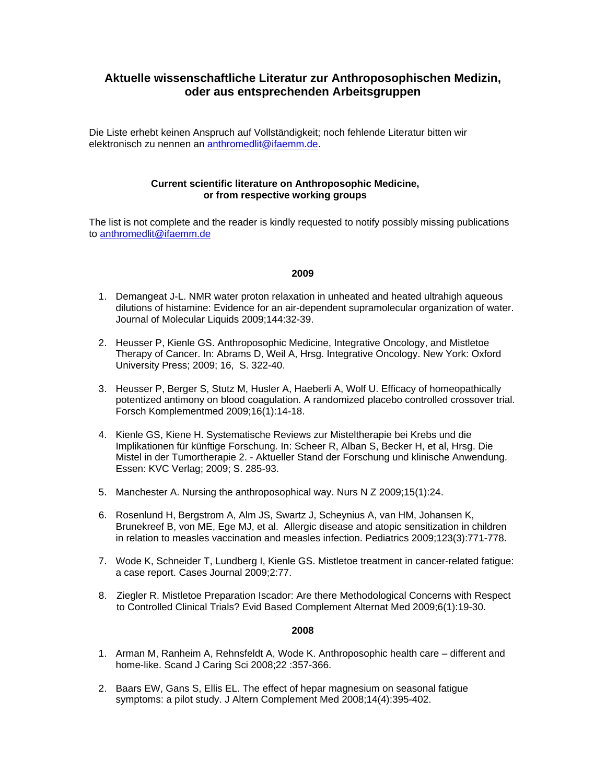# **Aktuelle wissenschaftliche Literatur zur Anthroposophischen Medizin, oder aus entsprechenden Arbeitsgruppen**

Die Liste erhebt keinen Anspruch auf Vollständigkeit; noch fehlende Literatur bitten wir elektronisch zu nennen an [anthromedlit@ifaemm.de](mailto:anthromedlit@ifaemm.de).

## **Current scientific literature on Anthroposophic Medicine, or from respective working groups**

The list is not complete and the reader is kindly requested to notify possibly missing publications to [anthromedlit@ifaemm.de](mailto:anthromedlit@ifaemm.de)

#### **2009**

- 1. Demangeat J-L. NMR water proton relaxation in unheated and heated ultrahigh aqueous dilutions of histamine: Evidence for an air-dependent supramolecular organization of water. Journal of Molecular Liquids 2009;144:32-39.
- 2. Heusser P, Kienle GS. Anthroposophic Medicine, Integrative Oncology, and Mistletoe Therapy of Cancer. In: Abrams D, Weil A, Hrsg. Integrative Oncology. New York: Oxford University Press; 2009; 16, S. 322-40.
- 3. Heusser P, Berger S, Stutz M, Husler A, Haeberli A, Wolf U. Efficacy of homeopathically potentized antimony on blood coagulation. A randomized placebo controlled crossover trial. Forsch Komplementmed 2009;16(1):14-18.
- 4. Kienle GS, Kiene H. Systematische Reviews zur Misteltherapie bei Krebs und die Implikationen für künftige Forschung. In: Scheer R, Alban S, Becker H, et al, Hrsg. Die Mistel in der Tumortherapie 2. - Aktueller Stand der Forschung und klinische Anwendung. Essen: KVC Verlag; 2009; S. 285-93.
- 5. Manchester A. Nursing the anthroposophical way. Nurs N Z 2009;15(1):24.
- 6. Rosenlund H, Bergstrom A, Alm JS, Swartz J, Scheynius A, van HM, Johansen K, Brunekreef B, von ME, Ege MJ, et al. Allergic disease and atopic sensitization in children in relation to measles vaccination and measles infection. Pediatrics 2009;123(3):771-778.
- 7. Wode K, Schneider T, Lundberg I, Kienle GS. Mistletoe treatment in cancer-related fatigue: a case report. Cases Journal 2009;2:77.
- 8. Ziegler R. Mistletoe Preparation Iscador: Are there Methodological Concerns with Respect to Controlled Clinical Trials? Evid Based Complement Alternat Med 2009;6(1):19-30.

### **2008**

- 1. Arman M, Ranheim A, Rehnsfeldt A, Wode K. Anthroposophic health care different and home-like. Scand J Caring Sci 2008;22 :357-366.
- 2. Baars EW, Gans S, Ellis EL. The effect of hepar magnesium on seasonal fatigue symptoms: a pilot study. J Altern Complement Med 2008;14(4):395-402.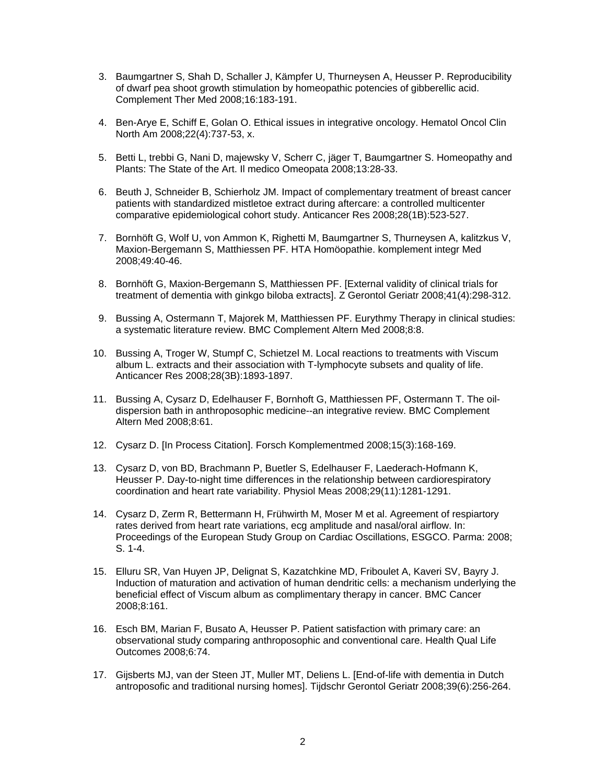- 3. Baumgartner S, Shah D, Schaller J, Kämpfer U, Thurneysen A, Heusser P. Reproducibility of dwarf pea shoot growth stimulation by homeopathic potencies of gibberellic acid. Complement Ther Med 2008;16:183-191.
- 4. Ben-Arye E, Schiff E, Golan O. Ethical issues in integrative oncology. Hematol Oncol Clin North Am 2008;22(4):737-53, x.
- 5. Betti L, trebbi G, Nani D, majewsky V, Scherr C, jäger T, Baumgartner S. Homeopathy and Plants: The State of the Art. Il medico Omeopata 2008;13:28-33.
- 6. Beuth J, Schneider B, Schierholz JM. Impact of complementary treatment of breast cancer patients with standardized mistletoe extract during aftercare: a controlled multicenter comparative epidemiological cohort study. Anticancer Res 2008;28(1B):523-527.
- 7. Bornhöft G, Wolf U, von Ammon K, Righetti M, Baumgartner S, Thurneysen A, kalitzkus V, Maxion-Bergemann S, Matthiessen PF. HTA Homöopathie. komplement integr Med 2008;49:40-46.
- 8. Bornhöft G, Maxion-Bergemann S, Matthiessen PF. [External validity of clinical trials for treatment of dementia with ginkgo biloba extracts]. Z Gerontol Geriatr 2008;41(4):298-312.
- 9. Bussing A, Ostermann T, Majorek M, Matthiessen PF. Eurythmy Therapy in clinical studies: a systematic literature review. BMC Complement Altern Med 2008;8:8.
- 10. Bussing A, Troger W, Stumpf C, Schietzel M. Local reactions to treatments with Viscum album L. extracts and their association with T-lymphocyte subsets and quality of life. Anticancer Res 2008;28(3B):1893-1897.
- 11. Bussing A, Cysarz D, Edelhauser F, Bornhoft G, Matthiessen PF, Ostermann T. The oildispersion bath in anthroposophic medicine--an integrative review. BMC Complement Altern Med 2008;8:61.
- 12. Cysarz D. [In Process Citation]. Forsch Komplementmed 2008;15(3):168-169.
- 13. Cysarz D, von BD, Brachmann P, Buetler S, Edelhauser F, Laederach-Hofmann K, Heusser P. Day-to-night time differences in the relationship between cardiorespiratory coordination and heart rate variability. Physiol Meas 2008;29(11):1281-1291.
- 14. Cysarz D, Zerm R, Bettermann H, Frühwirth M, Moser M et al. Agreement of respiartory rates derived from heart rate variations, ecg amplitude and nasal/oral airflow. In: Proceedings of the European Study Group on Cardiac Oscillations, ESGCO. Parma: 2008; S. 1-4.
- 15. Elluru SR, Van Huyen JP, Delignat S, Kazatchkine MD, Friboulet A, Kaveri SV, Bayry J. Induction of maturation and activation of human dendritic cells: a mechanism underlying the beneficial effect of Viscum album as complimentary therapy in cancer. BMC Cancer 2008;8:161.
- 16. Esch BM, Marian F, Busato A, Heusser P. Patient satisfaction with primary care: an observational study comparing anthroposophic and conventional care. Health Qual Life Outcomes 2008;6:74.
- 17. Gijsberts MJ, van der Steen JT, Muller MT, Deliens L. [End-of-life with dementia in Dutch antroposofic and traditional nursing homes]. Tijdschr Gerontol Geriatr 2008;39(6):256-264.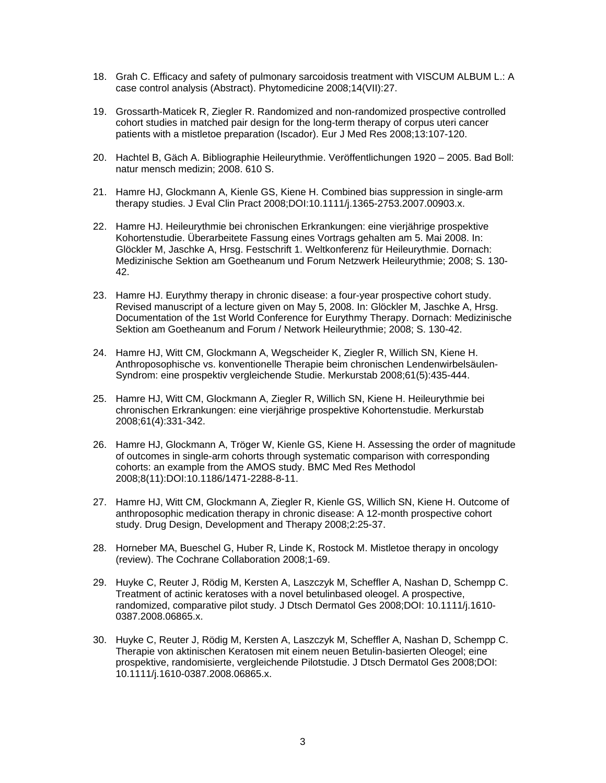- 18. Grah C. Efficacy and safety of pulmonary sarcoidosis treatment with VISCUM ALBUM L.: A case control analysis (Abstract). Phytomedicine 2008;14(VII):27.
- 19. Grossarth-Maticek R, Ziegler R. Randomized and non-randomized prospective controlled cohort studies in matched pair design for the long-term therapy of corpus uteri cancer patients with a mistletoe preparation (Iscador). Eur J Med Res 2008;13:107-120.
- 20. Hachtel B, Gäch A. Bibliographie Heileurythmie. Veröffentlichungen 1920 2005. Bad Boll: natur mensch medizin; 2008. 610 S.
- 21. Hamre HJ, Glockmann A, Kienle GS, Kiene H. Combined bias suppression in single-arm therapy studies. J Eval Clin Pract 2008;DOI:10.1111/j.1365-2753.2007.00903.x.
- 22. Hamre HJ. Heileurythmie bei chronischen Erkrankungen: eine vierjährige prospektive Kohortenstudie. Überarbeitete Fassung eines Vortrags gehalten am 5. Mai 2008. In: Glöckler M, Jaschke A, Hrsg. Festschrift 1. Weltkonferenz für Heileurythmie. Dornach: Medizinische Sektion am Goetheanum und Forum Netzwerk Heileurythmie; 2008; S. 130- 42.
- 23. Hamre HJ. Eurythmy therapy in chronic disease: a four-year prospective cohort study. Revised manuscript of a lecture given on May 5, 2008. In: Glöckler M, Jaschke A, Hrsg. Documentation of the 1st World Conference for Eurythmy Therapy. Dornach: Medizinische Sektion am Goetheanum and Forum / Network Heileurythmie; 2008; S. 130-42.
- 24. Hamre HJ, Witt CM, Glockmann A, Wegscheider K, Ziegler R, Willich SN, Kiene H. Anthroposophische vs. konventionelle Therapie beim chronischen Lendenwirbelsäulen-Syndrom: eine prospektiv vergleichende Studie. Merkurstab 2008;61(5):435-444.
- 25. Hamre HJ, Witt CM, Glockmann A, Ziegler R, Willich SN, Kiene H. Heileurythmie bei chronischen Erkrankungen: eine vierjährige prospektive Kohortenstudie. Merkurstab 2008;61(4):331-342.
- 26. Hamre HJ, Glockmann A, Tröger W, Kienle GS, Kiene H. Assessing the order of magnitude of outcomes in single-arm cohorts through systematic comparison with corresponding cohorts: an example from the AMOS study. BMC Med Res Methodol 2008;8(11):DOI:10.1186/1471-2288-8-11.
- 27. Hamre HJ, Witt CM, Glockmann A, Ziegler R, Kienle GS, Willich SN, Kiene H. Outcome of anthroposophic medication therapy in chronic disease: A 12-month prospective cohort study. Drug Design, Development and Therapy 2008;2:25-37.
- 28. Horneber MA, Bueschel G, Huber R, Linde K, Rostock M. Mistletoe therapy in oncology (review). The Cochrane Collaboration 2008;1-69.
- 29. Huyke C, Reuter J, Rödig M, Kersten A, Laszczyk M, Scheffler A, Nashan D, Schempp C. Treatment of actinic keratoses with a novel betulinbased oleogel. A prospective, randomized, comparative pilot study. J Dtsch Dermatol Ges 2008;DOI: 10.1111/j.1610- 0387.2008.06865.x.
- 30. Huyke C, Reuter J, Rödig M, Kersten A, Laszczyk M, Scheffler A, Nashan D, Schempp C. Therapie von aktinischen Keratosen mit einem neuen Betulin-basierten Oleogel; eine prospektive, randomisierte, vergleichende Pilotstudie. J Dtsch Dermatol Ges 2008;DOI: 10.1111/j.1610-0387.2008.06865.x.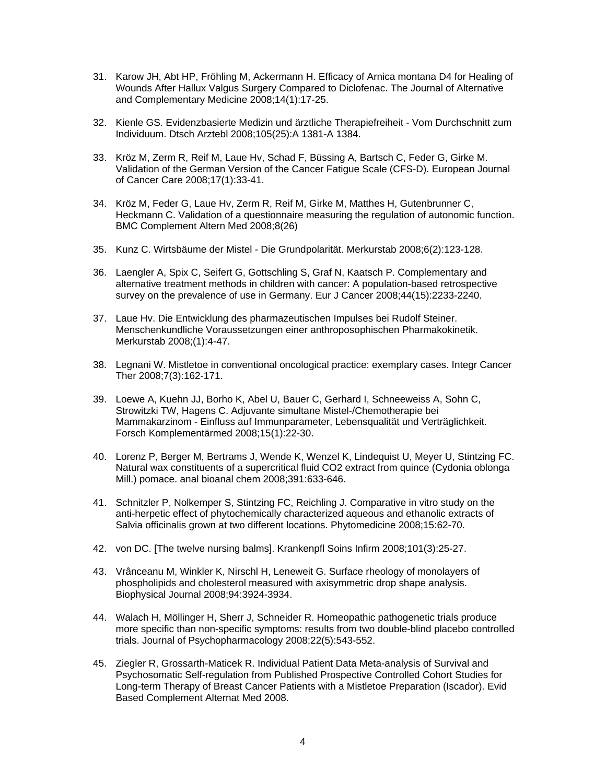- 31. Karow JH, Abt HP, Fröhling M, Ackermann H. Efficacy of Arnica montana D4 for Healing of Wounds After Hallux Valgus Surgery Compared to Diclofenac. The Journal of Alternative and Complementary Medicine 2008;14(1):17-25.
- 32. Kienle GS. Evidenzbasierte Medizin und ärztliche Therapiefreiheit Vom Durchschnitt zum Individuum. Dtsch Arztebl 2008;105(25):A 1381-A 1384.
- 33. Kröz M, Zerm R, Reif M, Laue Hv, Schad F, Büssing A, Bartsch C, Feder G, Girke M. Validation of the German Version of the Cancer Fatigue Scale (CFS-D). European Journal of Cancer Care 2008;17(1):33-41.
- 34. Kröz M, Feder G, Laue Hv, Zerm R, Reif M, Girke M, Matthes H, Gutenbrunner C, Heckmann C. Validation of a questionnaire measuring the regulation of autonomic function. BMC Complement Altern Med 2008;8(26)
- 35. Kunz C. Wirtsbäume der Mistel Die Grundpolarität. Merkurstab 2008;6(2):123-128.
- 36. Laengler A, Spix C, Seifert G, Gottschling S, Graf N, Kaatsch P. Complementary and alternative treatment methods in children with cancer: A population-based retrospective survey on the prevalence of use in Germany. Eur J Cancer 2008;44(15):2233-2240.
- 37. Laue Hv. Die Entwicklung des pharmazeutischen Impulses bei Rudolf Steiner. Menschenkundliche Voraussetzungen einer anthroposophischen Pharmakokinetik. Merkurstab 2008;(1):4-47.
- 38. Legnani W. Mistletoe in conventional oncological practice: exemplary cases. Integr Cancer Ther 2008;7(3):162-171.
- 39. Loewe A, Kuehn JJ, Borho K, Abel U, Bauer C, Gerhard I, Schneeweiss A, Sohn C, Strowitzki TW, Hagens C. Adjuvante simultane Mistel-/Chemotherapie bei Mammakarzinom - Einfluss auf Immunparameter, Lebensqualität und Verträglichkeit. Forsch Komplementärmed 2008;15(1):22-30.
- 40. Lorenz P, Berger M, Bertrams J, Wende K, Wenzel K, Lindequist U, Meyer U, Stintzing FC. Natural wax constituents of a supercritical fluid CO2 extract from quince (Cydonia oblonga Mill.) pomace. anal bioanal chem 2008;391:633-646.
- 41. Schnitzler P, Nolkemper S, Stintzing FC, Reichling J. Comparative in vitro study on the anti-herpetic effect of phytochemically characterized aqueous and ethanolic extracts of Salvia officinalis grown at two different locations. Phytomedicine 2008;15:62-70.
- 42. von DC. [The twelve nursing balms]. Krankenpfl Soins Infirm 2008;101(3):25-27.
- 43. Vrânceanu M, Winkler K, Nirschl H, Leneweit G. Surface rheology of monolayers of phospholipids and cholesterol measured with axisymmetric drop shape analysis. Biophysical Journal 2008;94:3924-3934.
- 44. Walach H, Möllinger H, Sherr J, Schneider R. Homeopathic pathogenetic trials produce more specific than non-specific symptoms: results from two double-blind placebo controlled trials. Journal of Psychopharmacology 2008;22(5):543-552.
- 45. Ziegler R, Grossarth-Maticek R. Individual Patient Data Meta-analysis of Survival and Psychosomatic Self-regulation from Published Prospective Controlled Cohort Studies for Long-term Therapy of Breast Cancer Patients with a Mistletoe Preparation (Iscador). Evid Based Complement Alternat Med 2008.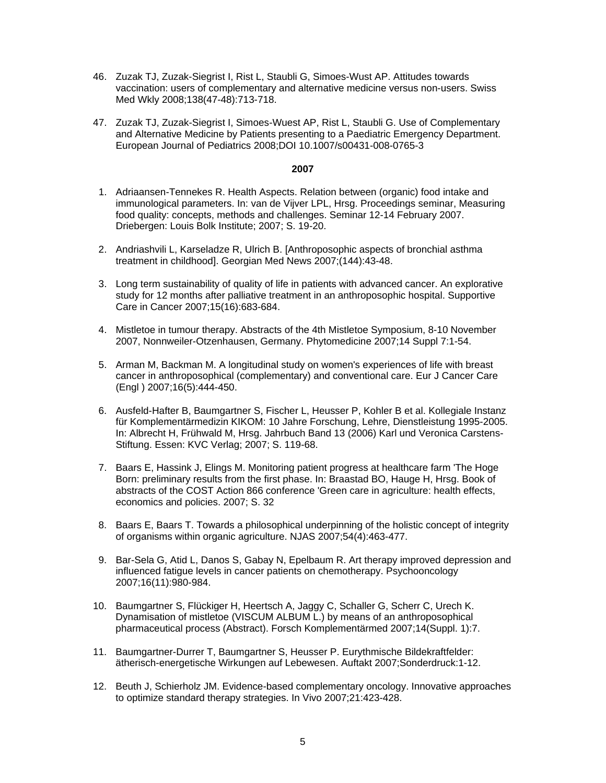- 46. Zuzak TJ, Zuzak-Siegrist I, Rist L, Staubli G, Simoes-Wust AP. Attitudes towards vaccination: users of complementary and alternative medicine versus non-users. Swiss Med Wkly 2008;138(47-48):713-718.
- 47. Zuzak TJ, Zuzak-Siegrist I, Simoes-Wuest AP, Rist L, Staubli G. Use of Complementary and Alternative Medicine by Patients presenting to a Paediatric Emergency Department. European Journal of Pediatrics 2008;DOI 10.1007/s00431-008-0765-3

## **2007**

- 1. Adriaansen-Tennekes R. Health Aspects. Relation between (organic) food intake and immunological parameters. In: van de Vijver LPL, Hrsg. Proceedings seminar, Measuring food quality: concepts, methods and challenges. Seminar 12-14 February 2007. Driebergen: Louis Bolk Institute; 2007; S. 19-20.
- 2. Andriashvili L, Karseladze R, Ulrich B. [Anthroposophic aspects of bronchial asthma treatment in childhood]. Georgian Med News 2007;(144):43-48.
- 3. Long term sustainability of quality of life in patients with advanced cancer. An explorative study for 12 months after palliative treatment in an anthroposophic hospital. Supportive Care in Cancer 2007;15(16):683-684.
- 4. Mistletoe in tumour therapy. Abstracts of the 4th Mistletoe Symposium, 8-10 November 2007, Nonnweiler-Otzenhausen, Germany. Phytomedicine 2007;14 Suppl 7:1-54.
- 5. Arman M, Backman M. A longitudinal study on women's experiences of life with breast cancer in anthroposophical (complementary) and conventional care. Eur J Cancer Care (Engl ) 2007;16(5):444-450.
- 6. Ausfeld-Hafter B, Baumgartner S, Fischer L, Heusser P, Kohler B et al. Kollegiale Instanz für Komplementärmedizin KIKOM: 10 Jahre Forschung, Lehre, Dienstleistung 1995-2005. In: Albrecht H, Frühwald M, Hrsg. Jahrbuch Band 13 (2006) Karl und Veronica Carstens-Stiftung. Essen: KVC Verlag; 2007; S. 119-68.
- 7. Baars E, Hassink J, Elings M. Monitoring patient progress at healthcare farm 'The Hoge Born: preliminary results from the first phase. In: Braastad BO, Hauge H, Hrsg. Book of abstracts of the COST Action 866 conference 'Green care in agriculture: health effects, economics and policies. 2007; S. 32
- 8. Baars E, Baars T. Towards a philosophical underpinning of the holistic concept of integrity of organisms within organic agriculture. NJAS 2007;54(4):463-477.
- 9. Bar-Sela G, Atid L, Danos S, Gabay N, Epelbaum R. Art therapy improved depression and influenced fatigue levels in cancer patients on chemotherapy. Psychooncology 2007;16(11):980-984.
- 10. Baumgartner S, Flückiger H, Heertsch A, Jaggy C, Schaller G, Scherr C, Urech K. Dynamisation of mistletoe (VISCUM ALBUM L.) by means of an anthroposophical pharmaceutical process (Abstract). Forsch Komplementärmed 2007;14(Suppl. 1):7.
- 11. Baumgartner-Durrer T, Baumgartner S, Heusser P. Eurythmische Bildekraftfelder: ätherisch-energetische Wirkungen auf Lebewesen. Auftakt 2007;Sonderdruck:1-12.
- 12. Beuth J, Schierholz JM. Evidence-based complementary oncology. Innovative approaches to optimize standard therapy strategies. In Vivo 2007;21:423-428.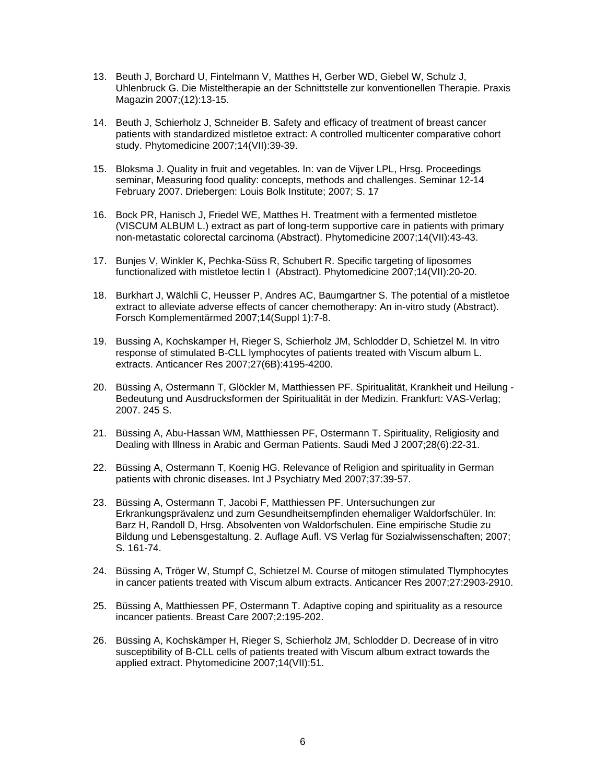- 13. Beuth J, Borchard U, Fintelmann V, Matthes H, Gerber WD, Giebel W, Schulz J, Uhlenbruck G. Die Misteltherapie an der Schnittstelle zur konventionellen Therapie. Praxis Magazin 2007;(12):13-15.
- 14. Beuth J, Schierholz J, Schneider B. Safety and efficacy of treatment of breast cancer patients with standardized mistletoe extract: A controlled multicenter comparative cohort study. Phytomedicine 2007;14(VII):39-39.
- 15. Bloksma J. Quality in fruit and vegetables. In: van de Vijver LPL, Hrsg. Proceedings seminar, Measuring food quality: concepts, methods and challenges. Seminar 12-14 February 2007. Driebergen: Louis Bolk Institute; 2007; S. 17
- 16. Bock PR, Hanisch J, Friedel WE, Matthes H. Treatment with a fermented mistletoe (VISCUM ALBUM L.) extract as part of long-term supportive care in patients with primary non-metastatic colorectal carcinoma (Abstract). Phytomedicine 2007;14(VII):43-43.
- 17. Bunjes V, Winkler K, Pechka-Süss R, Schubert R. Specific targeting of liposomes functionalized with mistletoe lectin I (Abstract). Phytomedicine 2007;14(VII):20-20.
- 18. Burkhart J, Wälchli C, Heusser P, Andres AC, Baumgartner S. The potential of a mistletoe extract to alleviate adverse effects of cancer chemotherapy: An in-vitro study (Abstract). Forsch Komplementärmed 2007;14(Suppl 1):7-8.
- 19. Bussing A, Kochskamper H, Rieger S, Schierholz JM, Schlodder D, Schietzel M. In vitro response of stimulated B-CLL lymphocytes of patients treated with Viscum album L. extracts. Anticancer Res 2007;27(6B):4195-4200.
- 20. Büssing A, Ostermann T, Glöckler M, Matthiessen PF. Spiritualität, Krankheit und Heilung Bedeutung und Ausdrucksformen der Spiritualität in der Medizin. Frankfurt: VAS-Verlag; 2007. 245 S.
- 21. Büssing A, Abu-Hassan WM, Matthiessen PF, Ostermann T. Spirituality, Religiosity and Dealing with Illness in Arabic and German Patients. Saudi Med J 2007;28(6):22-31.
- 22. Büssing A, Ostermann T, Koenig HG. Relevance of Religion and spirituality in German patients with chronic diseases. Int J Psychiatry Med 2007;37:39-57.
- 23. Büssing A, Ostermann T, Jacobi F, Matthiessen PF. Untersuchungen zur Erkrankungsprävalenz und zum Gesundheitsempfinden ehemaliger Waldorfschüler. In: Barz H, Randoll D, Hrsg. Absolventen von Waldorfschulen. Eine empirische Studie zu Bildung und Lebensgestaltung. 2. Auflage Aufl. VS Verlag für Sozialwissenschaften; 2007; S. 161-74.
- 24. Büssing A, Tröger W, Stumpf C, Schietzel M. Course of mitogen stimulated Tlymphocytes in cancer patients treated with Viscum album extracts. Anticancer Res 2007;27:2903-2910.
- 25. Büssing A, Matthiessen PF, Ostermann T. Adaptive coping and spirituality as a resource incancer patients. Breast Care 2007;2:195-202.
- 26. Büssing A, Kochskämper H, Rieger S, Schierholz JM, Schlodder D. Decrease of in vitro susceptibility of B-CLL cells of patients treated with Viscum album extract towards the applied extract. Phytomedicine 2007;14(VII):51.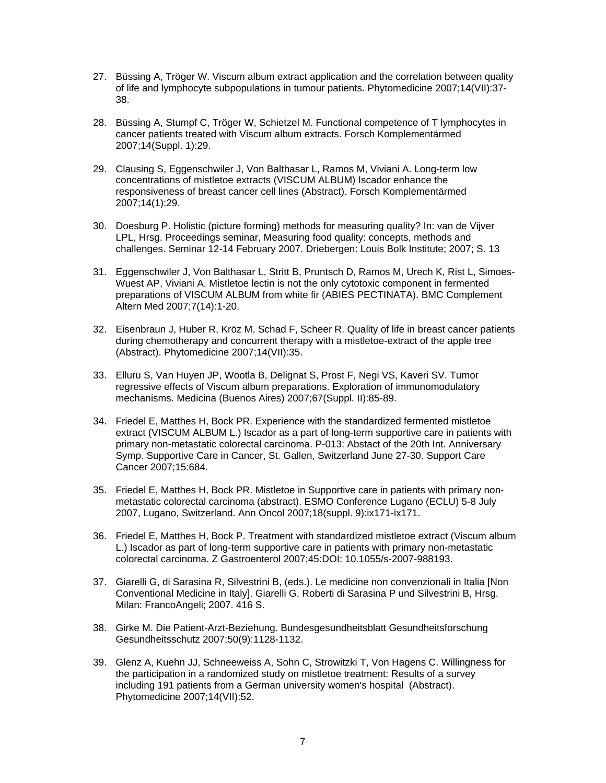- 27. Büssing A, Tröger W. Viscum album extract application and the correlation between quality of life and lymphocyte subpopulations in tumour patients. Phytomedicine 2007;14(VII):37- 38.
- 28. Büssing A, Stumpf C, Tröger W, Schietzel M. Functional competence of T lymphocytes in cancer patients treated with Viscum album extracts. Forsch Komplementärmed 2007;14(Suppl. 1):29.
- 29. Clausing S, Eggenschwiler J, Von Balthasar L, Ramos M, Viviani A. Long-term low concentrations of mistletoe extracts (VISCUM ALBUM) Iscador enhance the responsiveness of breast cancer cell lines (Abstract). Forsch Komplementärmed 2007;14(1):29.
- 30. Doesburg P. Holistic (picture forming) methods for measuring quality? In: van de Vijver LPL, Hrsg. Proceedings seminar, Measuring food quality: concepts, methods and challenges. Seminar 12-14 February 2007. Driebergen: Louis Bolk Institute; 2007; S. 13
- 31. Eggenschwiler J, Von Balthasar L, Stritt B, Pruntsch D, Ramos M, Urech K, Rist L, Simoes-Wuest AP, Viviani A. Mistletoe lectin is not the only cytotoxic component in fermented preparations of VISCUM ALBUM from white fir (ABIES PECTINATA). BMC Complement Altern Med 2007;7(14):1-20.
- 32. Eisenbraun J, Huber R, Kröz M, Schad F, Scheer R. Quality of life in breast cancer patients during chemotherapy and concurrent therapy with a mistletoe-extract of the apple tree (Abstract). Phytomedicine 2007;14(VII):35.
- 33. Elluru S, Van Huyen JP, Wootla B, Delignat S, Prost F, Negi VS, Kaveri SV. Tumor regressive effects of Viscum album preparations. Exploration of immunomodulatory mechanisms. Medicina (Buenos Aires) 2007;67(Suppl. II):85-89.
- 34. Friedel E, Matthes H, Bock PR. Experience with the standardized fermented mistletoe extract (VISCUM ALBUM L.) Iscador as a part of long-term supportive care in patients with primary non-metastatic colorectal carcinoma. P-013: Abstact of the 20th Int. Anniversary Symp. Supportive Care in Cancer, St. Gallen, Switzerland June 27-30. Support Care Cancer 2007;15:684.
- 35. Friedel E, Matthes H, Bock PR. Mistletoe in Supportive care in patients with primary nonmetastatic colorectal carcinoma (abstract). ESMO Conference Lugano (ECLU) 5-8 July 2007, Lugano, Switzerland. Ann Oncol 2007;18(suppl. 9):ix171-ix171.
- 36. Friedel E, Matthes H, Bock P. Treatment with standardized mistletoe extract (Viscum album L.) Iscador as part of long-term supportive care in patients with primary non-metastatic colorectal carcinoma. Z Gastroenterol 2007;45:DOI: 10.1055/s-2007-988193.
- 37. Giarelli G, di Sarasina R, Silvestrini B, (eds.). Le medicine non convenzionali in Italia [Non Conventional Medicine in Italy]. Giarelli G, Roberti di Sarasina P und Silvestrini B, Hrsg. Milan: FrancoAngeli; 2007. 416 S.
- 38. Girke M. Die Patient-Arzt-Beziehung. Bundesgesundheitsblatt Gesundheitsforschung Gesundheitsschutz 2007;50(9):1128-1132.
- 39. Glenz A, Kuehn JJ, Schneeweiss A, Sohn C, Strowitzki T, Von Hagens C. Willingness for the participation in a randomized study on mistletoe treatment: Results of a survey including 191 patients from a German university women's hospital (Abstract). Phytomedicine 2007;14(VII):52.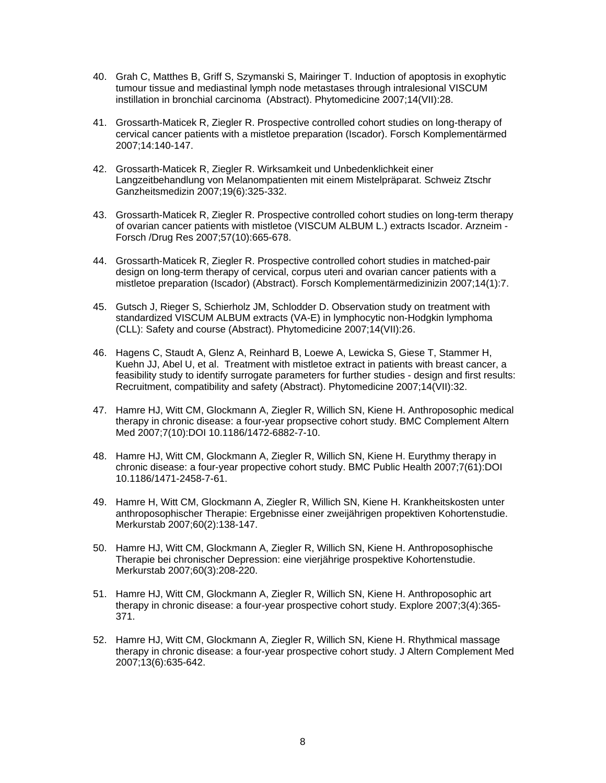- 40. Grah C, Matthes B, Griff S, Szymanski S, Mairinger T. Induction of apoptosis in exophytic tumour tissue and mediastinal lymph node metastases through intralesional VISCUM instillation in bronchial carcinoma (Abstract). Phytomedicine 2007;14(VII):28.
- 41. Grossarth-Maticek R, Ziegler R. Prospective controlled cohort studies on long-therapy of cervical cancer patients with a mistletoe preparation (Iscador). Forsch Komplementärmed 2007;14:140-147.
- 42. Grossarth-Maticek R, Ziegler R. Wirksamkeit und Unbedenklichkeit einer Langzeitbehandlung von Melanompatienten mit einem Mistelpräparat. Schweiz Ztschr Ganzheitsmedizin 2007;19(6):325-332.
- 43. Grossarth-Maticek R, Ziegler R. Prospective controlled cohort studies on long-term therapy of ovarian cancer patients with mistletoe (VISCUM ALBUM L.) extracts Iscador. Arzneim - Forsch /Drug Res 2007;57(10):665-678.
- 44. Grossarth-Maticek R, Ziegler R. Prospective controlled cohort studies in matched-pair design on long-term therapy of cervical, corpus uteri and ovarian cancer patients with a mistletoe preparation (Iscador) (Abstract). Forsch Komplementärmedizinizin 2007;14(1):7.
- 45. Gutsch J, Rieger S, Schierholz JM, Schlodder D. Observation study on treatment with standardized VISCUM ALBUM extracts (VA-E) in lymphocytic non-Hodgkin lymphoma (CLL): Safety and course (Abstract). Phytomedicine 2007;14(VII):26.
- 46. Hagens C, Staudt A, Glenz A, Reinhard B, Loewe A, Lewicka S, Giese T, Stammer H, Kuehn JJ, Abel U, et al. Treatment with mistletoe extract in patients with breast cancer, a feasibility study to identify surrogate parameters for further studies - design and first results: Recruitment, compatibility and safety (Abstract). Phytomedicine 2007;14(VII):32.
- 47. Hamre HJ, Witt CM, Glockmann A, Ziegler R, Willich SN, Kiene H. Anthroposophic medical therapy in chronic disease: a four-year propsective cohort study. BMC Complement Altern Med 2007;7(10):DOI 10.1186/1472-6882-7-10.
- 48. Hamre HJ, Witt CM, Glockmann A, Ziegler R, Willich SN, Kiene H. Eurythmy therapy in chronic disease: a four-year propective cohort study. BMC Public Health 2007;7(61):DOI 10.1186/1471-2458-7-61.
- 49. Hamre H, Witt CM, Glockmann A, Ziegler R, Willich SN, Kiene H. Krankheitskosten unter anthroposophischer Therapie: Ergebnisse einer zweijährigen propektiven Kohortenstudie. Merkurstab 2007;60(2):138-147.
- 50. Hamre HJ, Witt CM, Glockmann A, Ziegler R, Willich SN, Kiene H. Anthroposophische Therapie bei chronischer Depression: eine vierjährige prospektive Kohortenstudie. Merkurstab 2007;60(3):208-220.
- 51. Hamre HJ, Witt CM, Glockmann A, Ziegler R, Willich SN, Kiene H. Anthroposophic art therapy in chronic disease: a four-year prospective cohort study. Explore 2007;3(4):365- 371.
- 52. Hamre HJ, Witt CM, Glockmann A, Ziegler R, Willich SN, Kiene H. Rhythmical massage therapy in chronic disease: a four-year prospective cohort study. J Altern Complement Med 2007;13(6):635-642.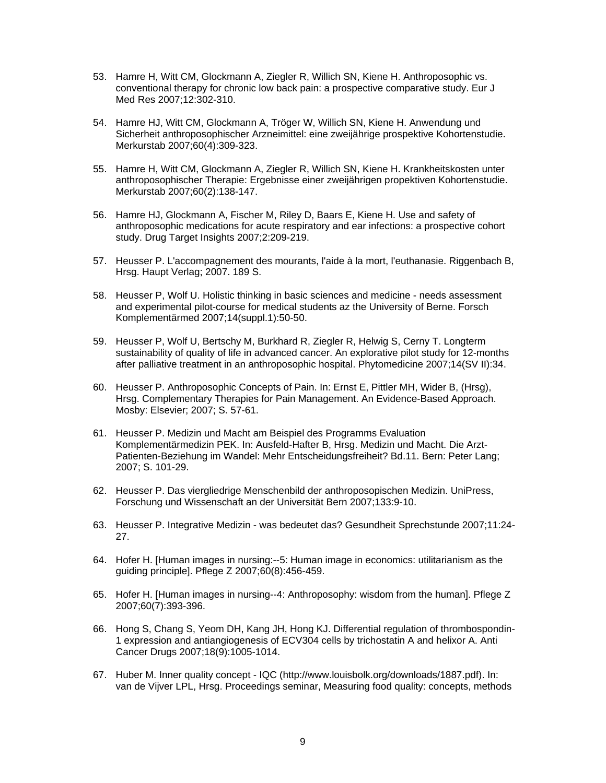- 53. Hamre H, Witt CM, Glockmann A, Ziegler R, Willich SN, Kiene H. Anthroposophic vs. conventional therapy for chronic low back pain: a prospective comparative study. Eur J Med Res 2007;12:302-310.
- 54. Hamre HJ, Witt CM, Glockmann A, Tröger W, Willich SN, Kiene H. Anwendung und Sicherheit anthroposophischer Arzneimittel: eine zweijährige prospektive Kohortenstudie. Merkurstab 2007;60(4):309-323.
- 55. Hamre H, Witt CM, Glockmann A, Ziegler R, Willich SN, Kiene H. Krankheitskosten unter anthroposophischer Therapie: Ergebnisse einer zweijährigen propektiven Kohortenstudie. Merkurstab 2007;60(2):138-147.
- 56. Hamre HJ, Glockmann A, Fischer M, Riley D, Baars E, Kiene H. Use and safety of anthroposophic medications for acute respiratory and ear infections: a prospective cohort study. Drug Target Insights 2007;2:209-219.
- 57. Heusser P. L'accompagnement des mourants, l'aide à la mort, l'euthanasie. Riggenbach B, Hrsg. Haupt Verlag; 2007. 189 S.
- 58. Heusser P, Wolf U. Holistic thinking in basic sciences and medicine needs assessment and experimental pilot-course for medical students az the University of Berne. Forsch Komplementärmed 2007;14(suppl.1):50-50.
- 59. Heusser P, Wolf U, Bertschy M, Burkhard R, Ziegler R, Helwig S, Cerny T. Longterm sustainability of quality of life in advanced cancer. An explorative pilot study for 12-months after palliative treatment in an anthroposophic hospital. Phytomedicine 2007;14(SV II):34.
- 60. Heusser P. Anthroposophic Concepts of Pain. In: Ernst E, Pittler MH, Wider B, (Hrsg), Hrsg. Complementary Therapies for Pain Management. An Evidence-Based Approach. Mosby: Elsevier; 2007; S. 57-61.
- 61. Heusser P. Medizin und Macht am Beispiel des Programms Evaluation Komplementärmedizin PEK. In: Ausfeld-Hafter B, Hrsg. Medizin und Macht. Die Arzt-Patienten-Beziehung im Wandel: Mehr Entscheidungsfreiheit? Bd.11. Bern: Peter Lang; 2007; S. 101-29.
- 62. Heusser P. Das viergliedrige Menschenbild der anthroposopischen Medizin. UniPress, Forschung und Wissenschaft an der Universität Bern 2007;133:9-10.
- 63. Heusser P. Integrative Medizin was bedeutet das? Gesundheit Sprechstunde 2007;11:24- 27.
- 64. Hofer H. [Human images in nursing:--5: Human image in economics: utilitarianism as the guiding principle]. Pflege Z 2007;60(8):456-459.
- 65. Hofer H. [Human images in nursing--4: Anthroposophy: wisdom from the human]. Pflege Z 2007;60(7):393-396.
- 66. Hong S, Chang S, Yeom DH, Kang JH, Hong KJ. Differential regulation of thrombospondin-1 expression and antiangiogenesis of ECV304 cells by trichostatin A and helixor A. Anti Cancer Drugs 2007;18(9):1005-1014.
- 67. Huber M. Inner quality concept IQC (http://www.louisbolk.org/downloads/1887.pdf). In: van de Vijver LPL, Hrsg. Proceedings seminar, Measuring food quality: concepts, methods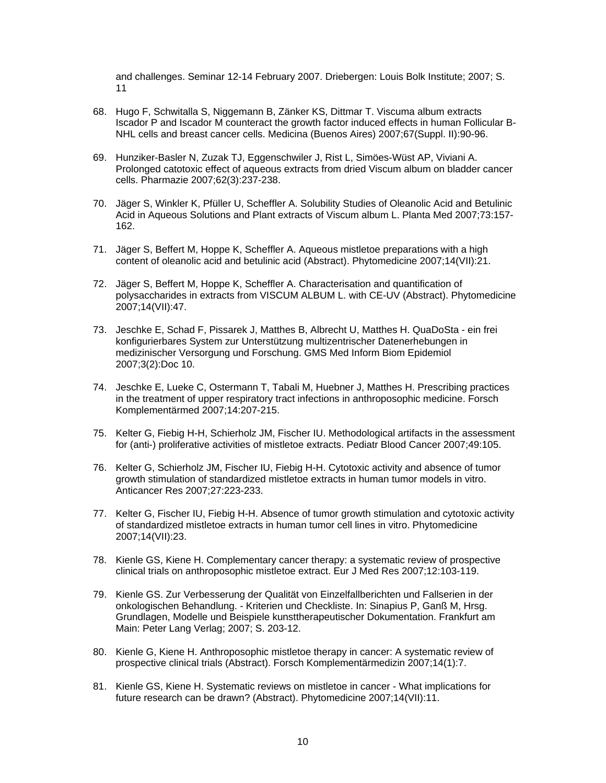and challenges. Seminar 12-14 February 2007. Driebergen: Louis Bolk Institute; 2007; S. 11

- 68. Hugo F, Schwitalla S, Niggemann B, Zänker KS, Dittmar T. Viscuma album extracts Iscador P and Iscador M counteract the growth factor induced effects in human Follicular B-NHL cells and breast cancer cells. Medicina (Buenos Aires) 2007;67(Suppl. II):90-96.
- 69. Hunziker-Basler N, Zuzak TJ, Eggenschwiler J, Rist L, Simöes-Wüst AP, Viviani A. Prolonged catotoxic effect of aqueous extracts from dried Viscum album on bladder cancer cells. Pharmazie 2007;62(3):237-238.
- 70. Jäger S, Winkler K, Pfüller U, Scheffler A. Solubility Studies of Oleanolic Acid and Betulinic Acid in Aqueous Solutions and Plant extracts of Viscum album L. Planta Med 2007;73:157- 162.
- 71. Jäger S, Beffert M, Hoppe K, Scheffler A. Aqueous mistletoe preparations with a high content of oleanolic acid and betulinic acid (Abstract). Phytomedicine 2007;14(VII):21.
- 72. Jäger S, Beffert M, Hoppe K, Scheffler A. Characterisation and quantification of polysaccharides in extracts from VISCUM ALBUM L. with CE-UV (Abstract). Phytomedicine 2007;14(VII):47.
- 73. Jeschke E, Schad F, Pissarek J, Matthes B, Albrecht U, Matthes H. QuaDoSta ein frei konfigurierbares System zur Unterstützung multizentrischer Datenerhebungen in medizinischer Versorgung und Forschung. GMS Med Inform Biom Epidemiol 2007;3(2):Doc 10.
- 74. Jeschke E, Lueke C, Ostermann T, Tabali M, Huebner J, Matthes H. Prescribing practices in the treatment of upper respiratory tract infections in anthroposophic medicine. Forsch Komplementärmed 2007;14:207-215.
- 75. Kelter G, Fiebig H-H, Schierholz JM, Fischer IU. Methodological artifacts in the assessment for (anti-) proliferative activities of mistletoe extracts. Pediatr Blood Cancer 2007;49:105.
- 76. Kelter G, Schierholz JM, Fischer IU, Fiebig H-H. Cytotoxic activity and absence of tumor growth stimulation of standardized mistletoe extracts in human tumor models in vitro. Anticancer Res 2007;27:223-233.
- 77. Kelter G, Fischer IU, Fiebig H-H. Absence of tumor growth stimulation and cytotoxic activity of standardized mistletoe extracts in human tumor cell lines in vitro. Phytomedicine 2007;14(VII):23.
- 78. Kienle GS, Kiene H. Complementary cancer therapy: a systematic review of prospective clinical trials on anthroposophic mistletoe extract. Eur J Med Res 2007;12:103-119.
- 79. Kienle GS. Zur Verbesserung der Qualität von Einzelfallberichten und Fallserien in der onkologischen Behandlung. - Kriterien und Checkliste. In: Sinapius P, Ganß M, Hrsg. Grundlagen, Modelle und Beispiele kunsttherapeutischer Dokumentation. Frankfurt am Main: Peter Lang Verlag; 2007; S. 203-12.
- 80. Kienle G, Kiene H. Anthroposophic mistletoe therapy in cancer: A systematic review of prospective clinical trials (Abstract). Forsch Komplementärmedizin 2007;14(1):7.
- 81. Kienle GS, Kiene H. Systematic reviews on mistletoe in cancer What implications for future research can be drawn? (Abstract). Phytomedicine 2007;14(VII):11.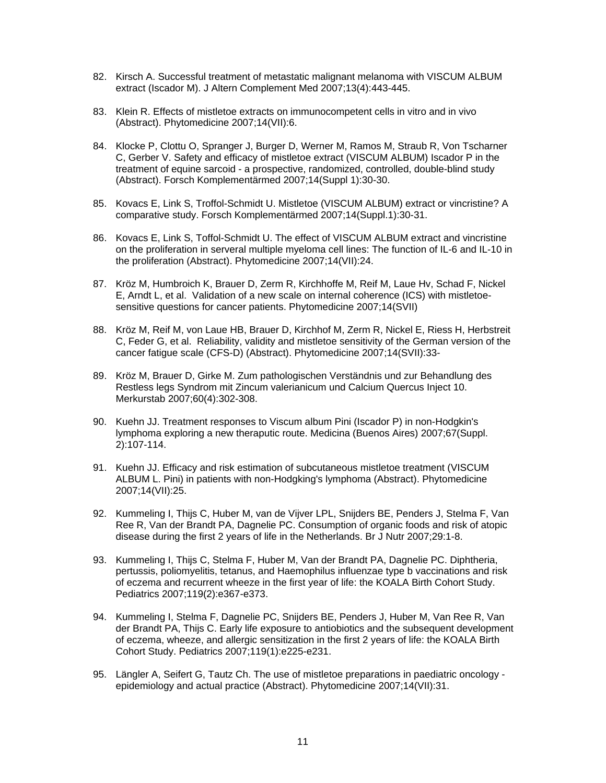- 82. Kirsch A. Successful treatment of metastatic malignant melanoma with VISCUM ALBUM extract (Iscador M). J Altern Complement Med 2007;13(4):443-445.
- 83. Klein R. Effects of mistletoe extracts on immunocompetent cells in vitro and in vivo (Abstract). Phytomedicine 2007;14(VII):6.
- 84. Klocke P, Clottu O, Spranger J, Burger D, Werner M, Ramos M, Straub R, Von Tscharner C, Gerber V. Safety and efficacy of mistletoe extract (VISCUM ALBUM) Iscador P in the treatment of equine sarcoid - a prospective, randomized, controlled, double-blind study (Abstract). Forsch Komplementärmed 2007;14(Suppl 1):30-30.
- 85. Kovacs E, Link S, Troffol-Schmidt U. Mistletoe (VISCUM ALBUM) extract or vincristine? A comparative study. Forsch Komplementärmed 2007;14(Suppl.1):30-31.
- 86. Kovacs E, Link S, Toffol-Schmidt U. The effect of VISCUM ALBUM extract and vincristine on the proliferation in serveral multiple myeloma cell lines: The function of IL-6 and IL-10 in the proliferation (Abstract). Phytomedicine 2007;14(VII):24.
- 87. Kröz M, Humbroich K, Brauer D, Zerm R, Kirchhoffe M, Reif M, Laue Hv, Schad F, Nickel E, Arndt L, et al. Validation of a new scale on internal coherence (ICS) with mistletoesensitive questions for cancer patients. Phytomedicine 2007;14(SVII)
- 88. Kröz M, Reif M, von Laue HB, Brauer D, Kirchhof M, Zerm R, Nickel E, Riess H, Herbstreit C, Feder G, et al. Reliability, validity and mistletoe sensitivity of the German version of the cancer fatigue scale (CFS-D) (Abstract). Phytomedicine 2007;14(SVII):33-
- 89. Kröz M, Brauer D, Girke M. Zum pathologischen Verständnis und zur Behandlung des Restless legs Syndrom mit Zincum valerianicum und Calcium Quercus Inject 10. Merkurstab 2007;60(4):302-308.
- 90. Kuehn JJ. Treatment responses to Viscum album Pini (Iscador P) in non-Hodgkin's lymphoma exploring a new theraputic route. Medicina (Buenos Aires) 2007;67(Suppl. 2):107-114.
- 91. Kuehn JJ. Efficacy and risk estimation of subcutaneous mistletoe treatment (VISCUM ALBUM L. Pini) in patients with non-Hodgking's lymphoma (Abstract). Phytomedicine 2007;14(VII):25.
- 92. Kummeling I, Thijs C, Huber M, van de Vijver LPL, Snijders BE, Penders J, Stelma F, Van Ree R, Van der Brandt PA, Dagnelie PC. Consumption of organic foods and risk of atopic disease during the first 2 years of life in the Netherlands. Br J Nutr 2007;29:1-8.
- 93. Kummeling I, Thijs C, Stelma F, Huber M, Van der Brandt PA, Dagnelie PC. Diphtheria, pertussis, poliomyelitis, tetanus, and Haemophilus influenzae type b vaccinations and risk of eczema and recurrent wheeze in the first year of life: the KOALA Birth Cohort Study. Pediatrics 2007;119(2):e367-e373.
- 94. Kummeling I, Stelma F, Dagnelie PC, Snijders BE, Penders J, Huber M, Van Ree R, Van der Brandt PA, Thijs C. Early life exposure to antiobiotics and the subsequent development of eczema, wheeze, and allergic sensitization in the first 2 years of life: the KOALA Birth Cohort Study. Pediatrics 2007;119(1):e225-e231.
- 95. Längler A, Seifert G, Tautz Ch. The use of mistletoe preparations in paediatric oncology epidemiology and actual practice (Abstract). Phytomedicine 2007;14(VII):31.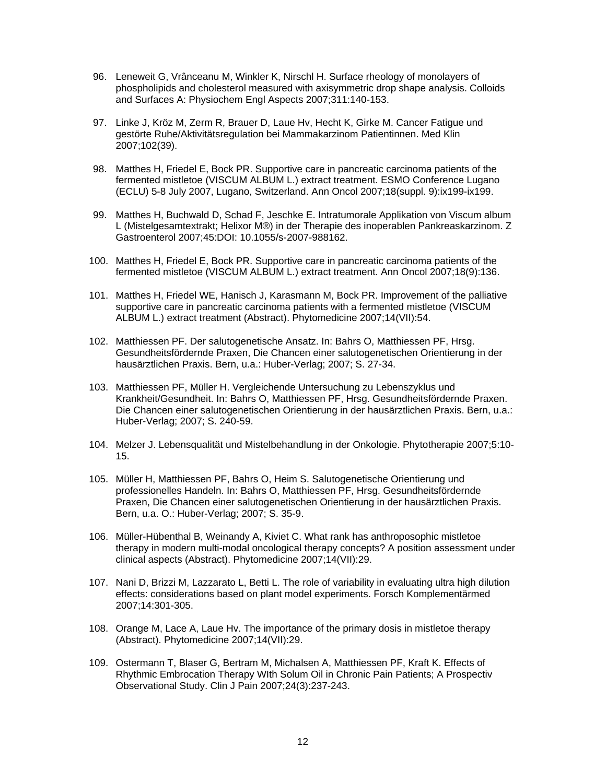- 96. Leneweit G, Vrânceanu M, Winkler K, Nirschl H. Surface rheology of monolayers of phospholipids and cholesterol measured with axisymmetric drop shape analysis. Colloids and Surfaces A: Physiochem Engl Aspects 2007;311:140-153.
- 97. Linke J, Kröz M, Zerm R, Brauer D, Laue Hv, Hecht K, Girke M. Cancer Fatigue und gestörte Ruhe/Aktivitätsregulation bei Mammakarzinom Patientinnen. Med Klin 2007;102(39).
- 98. Matthes H, Friedel E, Bock PR. Supportive care in pancreatic carcinoma patients of the fermented mistletoe (VISCUM ALBUM L.) extract treatment. ESMO Conference Lugano (ECLU) 5-8 July 2007, Lugano, Switzerland. Ann Oncol 2007;18(suppl. 9):ix199-ix199.
- 99. Matthes H, Buchwald D, Schad F, Jeschke E. Intratumorale Applikation von Viscum album L (Mistelgesamtextrakt; Helixor M®) in der Therapie des inoperablen Pankreaskarzinom. Z Gastroenterol 2007;45:DOI: 10.1055/s-2007-988162.
- 100. Matthes H, Friedel E, Bock PR. Supportive care in pancreatic carcinoma patients of the fermented mistletoe (VISCUM ALBUM L.) extract treatment. Ann Oncol 2007;18(9):136.
- 101. Matthes H, Friedel WE, Hanisch J, Karasmann M, Bock PR. Improvement of the palliative supportive care in pancreatic carcinoma patients with a fermented mistletoe (VISCUM ALBUM L.) extract treatment (Abstract). Phytomedicine 2007;14(VII):54.
- 102. Matthiessen PF. Der salutogenetische Ansatz. In: Bahrs O, Matthiessen PF, Hrsg. Gesundheitsfördernde Praxen, Die Chancen einer salutogenetischen Orientierung in der hausärztlichen Praxis. Bern, u.a.: Huber-Verlag; 2007; S. 27-34.
- 103. Matthiessen PF, Müller H. Vergleichende Untersuchung zu Lebenszyklus und Krankheit/Gesundheit. In: Bahrs O, Matthiessen PF, Hrsg. Gesundheitsfördernde Praxen. Die Chancen einer salutogenetischen Orientierung in der hausärztlichen Praxis. Bern, u.a.: Huber-Verlag; 2007; S. 240-59.
- 104. Melzer J. Lebensqualität und Mistelbehandlung in der Onkologie. Phytotherapie 2007;5:10- 15.
- 105. Müller H, Matthiessen PF, Bahrs O, Heim S. Salutogenetische Orientierung und professionelles Handeln. In: Bahrs O, Matthiessen PF, Hrsg. Gesundheitsfördernde Praxen, Die Chancen einer salutogenetischen Orientierung in der hausärztlichen Praxis. Bern, u.a. O.: Huber-Verlag; 2007; S. 35-9.
- 106. Müller-Hübenthal B, Weinandy A, Kiviet C. What rank has anthroposophic mistletoe therapy in modern multi-modal oncological therapy concepts? A position assessment under clinical aspects (Abstract). Phytomedicine 2007;14(VII):29.
- 107. Nani D, Brizzi M, Lazzarato L, Betti L. The role of variability in evaluating ultra high dilution effects: considerations based on plant model experiments. Forsch Komplementärmed 2007;14:301-305.
- 108. Orange M, Lace A, Laue Hv. The importance of the primary dosis in mistletoe therapy (Abstract). Phytomedicine 2007;14(VII):29.
- 109. Ostermann T, Blaser G, Bertram M, Michalsen A, Matthiessen PF, Kraft K. Effects of Rhythmic Embrocation Therapy WIth Solum Oil in Chronic Pain Patients; A Prospectiv Observational Study. Clin J Pain 2007;24(3):237-243.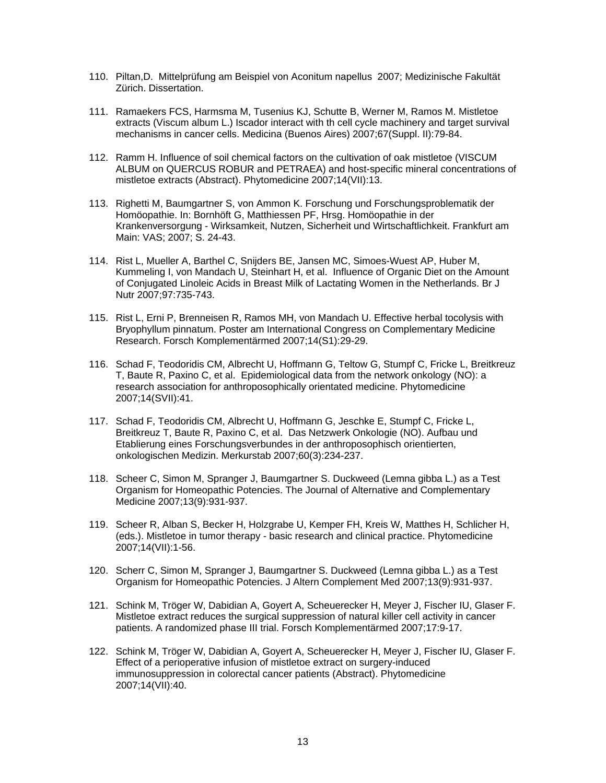- 110. Piltan,D. Mittelprüfung am Beispiel von Aconitum napellus 2007; Medizinische Fakultät Zürich. Dissertation.
- 111. Ramaekers FCS, Harmsma M, Tusenius KJ, Schutte B, Werner M, Ramos M. Mistletoe extracts (Viscum album L.) Iscador interact with th cell cycle machinery and target survival mechanisms in cancer cells. Medicina (Buenos Aires) 2007;67(Suppl. II):79-84.
- 112. Ramm H. Influence of soil chemical factors on the cultivation of oak mistletoe (VISCUM ALBUM on QUERCUS ROBUR and PETRAEA) and host-specific mineral concentrations of mistletoe extracts (Abstract). Phytomedicine 2007;14(VII):13.
- 113. Righetti M, Baumgartner S, von Ammon K. Forschung und Forschungsproblematik der Homöopathie. In: Bornhöft G, Matthiessen PF, Hrsg. Homöopathie in der Krankenversorgung - Wirksamkeit, Nutzen, Sicherheit und Wirtschaftlichkeit. Frankfurt am Main: VAS; 2007; S. 24-43.
- 114. Rist L, Mueller A, Barthel C, Snijders BE, Jansen MC, Simoes-Wuest AP, Huber M, Kummeling I, von Mandach U, Steinhart H, et al. Influence of Organic Diet on the Amount of Conjugated Linoleic Acids in Breast Milk of Lactating Women in the Netherlands. Br J Nutr 2007;97:735-743.
- 115. Rist L, Erni P, Brenneisen R, Ramos MH, von Mandach U. Effective herbal tocolysis with Bryophyllum pinnatum. Poster am International Congress on Complementary Medicine Research. Forsch Komplementärmed 2007;14(S1):29-29.
- 116. Schad F, Teodoridis CM, Albrecht U, Hoffmann G, Teltow G, Stumpf C, Fricke L, Breitkreuz T, Baute R, Paxino C, et al. Epidemiological data from the network onkology (NO): a research association for anthroposophically orientated medicine. Phytomedicine 2007;14(SVII):41.
- 117. Schad F, Teodoridis CM, Albrecht U, Hoffmann G, Jeschke E, Stumpf C, Fricke L, Breitkreuz T, Baute R, Paxino C, et al. Das Netzwerk Onkologie (NO). Aufbau und Etablierung eines Forschungsverbundes in der anthroposophisch orientierten, onkologischen Medizin. Merkurstab 2007;60(3):234-237.
- 118. Scheer C, Simon M, Spranger J, Baumgartner S. Duckweed (Lemna gibba L.) as a Test Organism for Homeopathic Potencies. The Journal of Alternative and Complementary Medicine 2007;13(9):931-937.
- 119. Scheer R, Alban S, Becker H, Holzgrabe U, Kemper FH, Kreis W, Matthes H, Schlicher H, (eds.). Mistletoe in tumor therapy - basic research and clinical practice. Phytomedicine 2007;14(VII):1-56.
- 120. Scherr C, Simon M, Spranger J, Baumgartner S. Duckweed (Lemna gibba L.) as a Test Organism for Homeopathic Potencies. J Altern Complement Med 2007;13(9):931-937.
- 121. Schink M, Tröger W, Dabidian A, Goyert A, Scheuerecker H, Meyer J, Fischer IU, Glaser F. Mistletoe extract reduces the surgical suppression of natural killer cell activity in cancer patients. A randomized phase III trial. Forsch Komplementärmed 2007;17:9-17.
- 122. Schink M, Tröger W, Dabidian A, Goyert A, Scheuerecker H, Meyer J, Fischer IU, Glaser F. Effect of a perioperative infusion of mistletoe extract on surgery-induced immunosuppression in colorectal cancer patients (Abstract). Phytomedicine 2007;14(VII):40.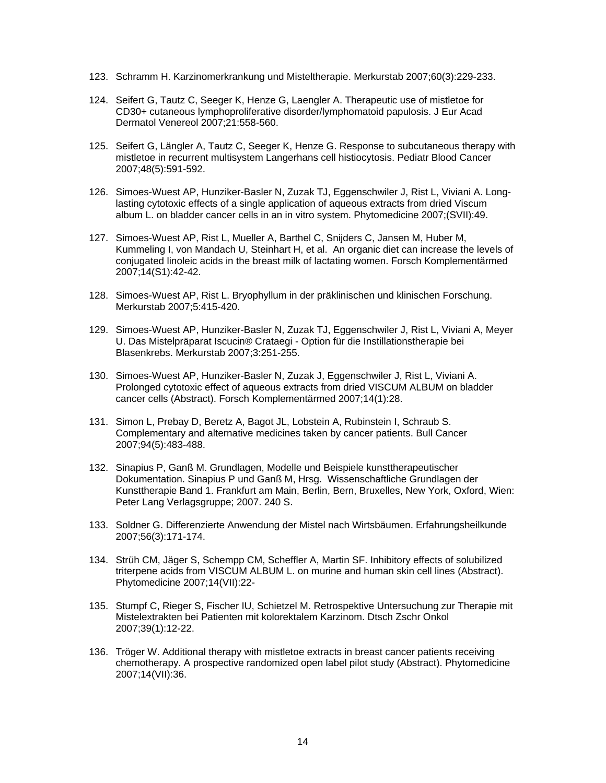- 123. Schramm H. Karzinomerkrankung und Misteltherapie. Merkurstab 2007;60(3):229-233.
- 124. Seifert G, Tautz C, Seeger K, Henze G, Laengler A. Therapeutic use of mistletoe for CD30+ cutaneous lymphoproliferative disorder/lymphomatoid papulosis. J Eur Acad Dermatol Venereol 2007;21:558-560.
- 125. Seifert G, Längler A, Tautz C, Seeger K, Henze G. Response to subcutaneous therapy with mistletoe in recurrent multisystem Langerhans cell histiocytosis. Pediatr Blood Cancer 2007;48(5):591-592.
- 126. Simoes-Wuest AP, Hunziker-Basler N, Zuzak TJ, Eggenschwiler J, Rist L, Viviani A. Longlasting cytotoxic effects of a single application of aqueous extracts from dried Viscum album L. on bladder cancer cells in an in vitro system. Phytomedicine 2007;(SVII):49.
- 127. Simoes-Wuest AP, Rist L, Mueller A, Barthel C, Snijders C, Jansen M, Huber M, Kummeling I, von Mandach U, Steinhart H, et al. An organic diet can increase the levels of conjugated linoleic acids in the breast milk of lactating women. Forsch Komplementärmed 2007;14(S1):42-42.
- 128. Simoes-Wuest AP, Rist L. Bryophyllum in der präklinischen und klinischen Forschung. Merkurstab 2007;5:415-420.
- 129. Simoes-Wuest AP, Hunziker-Basler N, Zuzak TJ, Eggenschwiler J, Rist L, Viviani A, Meyer U. Das Mistelpräparat Iscucin® Crataegi - Option für die Instillationstherapie bei Blasenkrebs. Merkurstab 2007;3:251-255.
- 130. Simoes-Wuest AP, Hunziker-Basler N, Zuzak J, Eggenschwiler J, Rist L, Viviani A. Prolonged cytotoxic effect of aqueous extracts from dried VISCUM ALBUM on bladder cancer cells (Abstract). Forsch Komplementärmed 2007;14(1):28.
- 131. Simon L, Prebay D, Beretz A, Bagot JL, Lobstein A, Rubinstein I, Schraub S. Complementary and alternative medicines taken by cancer patients. Bull Cancer 2007;94(5):483-488.
- 132. Sinapius P, Ganß M. Grundlagen, Modelle und Beispiele kunsttherapeutischer Dokumentation. Sinapius P und Ganß M, Hrsg. Wissenschaftliche Grundlagen der Kunsttherapie Band 1. Frankfurt am Main, Berlin, Bern, Bruxelles, New York, Oxford, Wien: Peter Lang Verlagsgruppe; 2007. 240 S.
- 133. Soldner G. Differenzierte Anwendung der Mistel nach Wirtsbäumen. Erfahrungsheilkunde 2007;56(3):171-174.
- 134. Strüh CM, Jäger S, Schempp CM, Scheffler A, Martin SF. Inhibitory effects of solubilized triterpene acids from VISCUM ALBUM L. on murine and human skin cell lines (Abstract). Phytomedicine 2007;14(VII):22-
- 135. Stumpf C, Rieger S, Fischer IU, Schietzel M. Retrospektive Untersuchung zur Therapie mit Mistelextrakten bei Patienten mit kolorektalem Karzinom. Dtsch Zschr Onkol 2007;39(1):12-22.
- 136. Tröger W. Additional therapy with mistletoe extracts in breast cancer patients receiving chemotherapy. A prospective randomized open label pilot study (Abstract). Phytomedicine 2007;14(VII):36.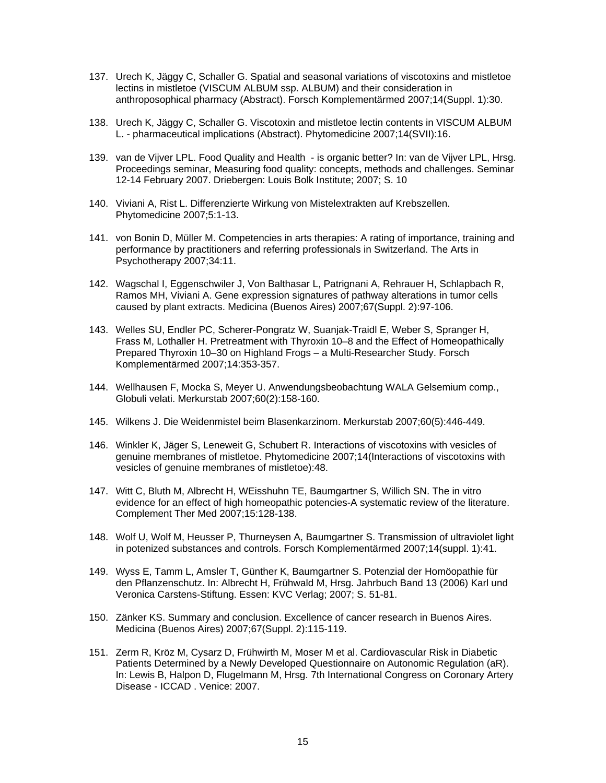- 137. Urech K, Jäggy C, Schaller G. Spatial and seasonal variations of viscotoxins and mistletoe lectins in mistletoe (VISCUM ALBUM ssp. ALBUM) and their consideration in anthroposophical pharmacy (Abstract). Forsch Komplementärmed 2007;14(Suppl. 1):30.
- 138. Urech K, Jäggy C, Schaller G. Viscotoxin and mistletoe lectin contents in VISCUM ALBUM L. - pharmaceutical implications (Abstract). Phytomedicine 2007;14(SVII):16.
- 139. van de Vijver LPL. Food Quality and Health is organic better? In: van de Vijver LPL, Hrsg. Proceedings seminar, Measuring food quality: concepts, methods and challenges. Seminar 12-14 February 2007. Driebergen: Louis Bolk Institute; 2007; S. 10
- 140. Viviani A, Rist L. Differenzierte Wirkung von Mistelextrakten auf Krebszellen. Phytomedicine 2007;5:1-13.
- 141. von Bonin D, Müller M. Competencies in arts therapies: A rating of importance, training and performance by practitioners and referring professionals in Switzerland. The Arts in Psychotherapy 2007;34:11.
- 142. Wagschal I, Eggenschwiler J, Von Balthasar L, Patrignani A, Rehrauer H, Schlapbach R, Ramos MH, Viviani A. Gene expression signatures of pathway alterations in tumor cells caused by plant extracts. Medicina (Buenos Aires) 2007;67(Suppl. 2):97-106.
- 143. Welles SU, Endler PC, Scherer-Pongratz W, Suanjak-Traidl E, Weber S, Spranger H, Frass M, Lothaller H. Pretreatment with Thyroxin 10–8 and the Effect of Homeopathically Prepared Thyroxin 10–30 on Highland Frogs – a Multi-Researcher Study. Forsch Komplementärmed 2007;14:353-357.
- 144. Wellhausen F, Mocka S, Meyer U. Anwendungsbeobachtung WALA Gelsemium comp., Globuli velati. Merkurstab 2007;60(2):158-160.
- 145. Wilkens J. Die Weidenmistel beim Blasenkarzinom. Merkurstab 2007;60(5):446-449.
- 146. Winkler K, Jäger S, Leneweit G, Schubert R. Interactions of viscotoxins with vesicles of genuine membranes of mistletoe. Phytomedicine 2007;14(Interactions of viscotoxins with vesicles of genuine membranes of mistletoe):48.
- 147. Witt C, Bluth M, Albrecht H, WEisshuhn TE, Baumgartner S, Willich SN. The in vitro evidence for an effect of high homeopathic potencies-A systematic review of the literature. Complement Ther Med 2007;15:128-138.
- 148. Wolf U, Wolf M, Heusser P, Thurneysen A, Baumgartner S. Transmission of ultraviolet light in potenized substances and controls. Forsch Komplementärmed 2007;14(suppl. 1):41.
- 149. Wyss E, Tamm L, Amsler T, Günther K, Baumgartner S. Potenzial der Homöopathie für den Pflanzenschutz. In: Albrecht H, Frühwald M, Hrsg. Jahrbuch Band 13 (2006) Karl und Veronica Carstens-Stiftung. Essen: KVC Verlag; 2007; S. 51-81.
- 150. Zänker KS. Summary and conclusion. Excellence of cancer research in Buenos Aires. Medicina (Buenos Aires) 2007;67(Suppl. 2):115-119.
- 151. Zerm R, Kröz M, Cysarz D, Frühwirth M, Moser M et al. Cardiovascular Risk in Diabetic Patients Determined by a Newly Developed Questionnaire on Autonomic Regulation (aR). In: Lewis B, Halpon D, Flugelmann M, Hrsg. 7th International Congress on Coronary Artery Disease - ICCAD . Venice: 2007.